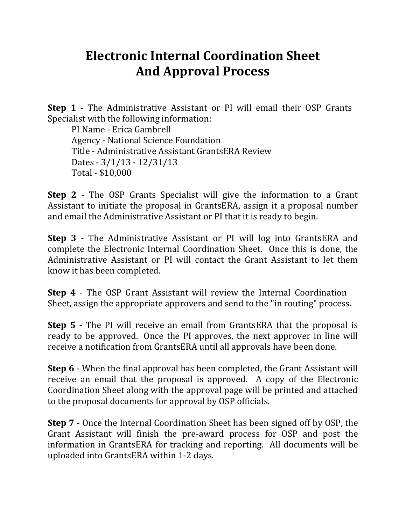## **Electronic Internal Coordination Sheet And Approval Process**

**Step 1** - The Administrative Assistant or PI will email their OSP Grants Specialist with the following information:

PI Name - Erica Gambrell Agency - National Science Foundation Title - Administrative Assistant GrantsERA Review Dates - 3/1/13 - 12/31/13 Total - \$10,000

**Step 2** - The OSP Grants Specialist will give the information to a Grant Assistant to initiate the proposal in GrantsERA, assign it a proposal number and email the Administrative Assistant or PI that it is ready to begin.

**Step 3** - The Administrative Assistant or PI will log into GrantsERA and complete the Electronic Internal Coordination Sheet. Once this is done, the Administrative Assistant or PI will contact the Grant Assistant to let them know it has been completed.

**Step 4** - The OSP Grant Assistant will review the Internal Coordination Sheet, assign the appropriate approvers and send to the "in routing" process.

**Step 5** - The PI will receive an email from GrantsERA that the proposal is ready to be approved. Once the PI approves, the next approver in line will receive a notification from GrantsERA until all approvals have been done.

**Step 6** - When the final approval has been completed, the Grant Assistant will receive an email that the proposal is approved. A copy of the Electronic Coordination Sheet along with the approval page will be printed and attached to the proposal documents for approval by OSP officials.

**Step 7** - Once the Internal Coordination Sheet has been signed off by OSP, the Grant Assistant will finish the pre-award process for OSP and post the information in GrantsERA for tracking and reporting. All documents will be uploaded into GrantsERA within 1-2 days.